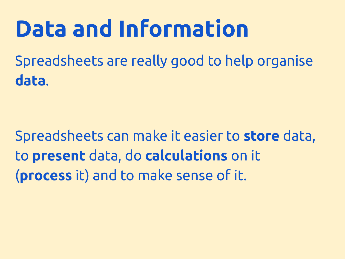Spreadsheets are really good to help organise **data**.

Spreadsheets can make it easier to **store** data, to **present** data, do **calculations** on it (**process** it) and to make sense of it.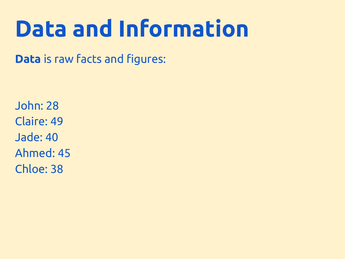**Data** is raw facts and figures:

John: 28 Claire: 49 Jade: 40 Ahmed: 45 Chloe: 38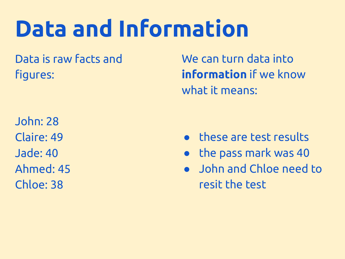Data is raw facts and figures:

John: 28 Claire: 49 Jade: 40 Ahmed: 45 Chloe: 38

We can turn data into **information** if we know what it means:

- these are test results
- the pass mark was 40
- John and Chloe need to resit the test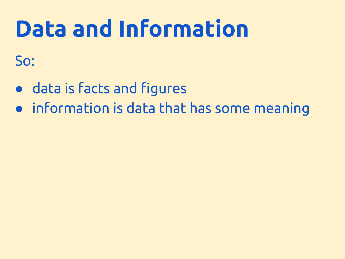So:

- data is facts and figures
- information is data that has some meaning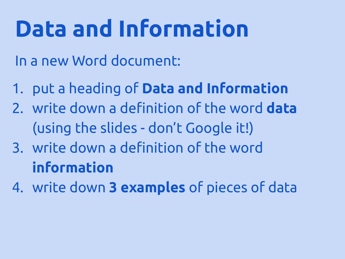In a new Word document:

- 1. put a heading of **Data and Information**
- 2. write down a definition of the word **data** (using the slides - don't Google it!)
- 3. write down a definition of the word **information**
- 4. write down **3 examples** of pieces of data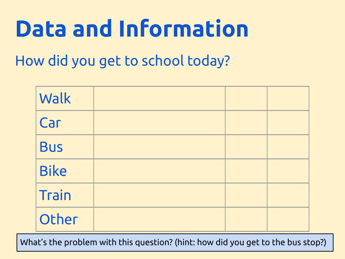How did you get to school today?

| Walk        |  |  |
|-------------|--|--|
| Car         |  |  |
| <b>Bus</b>  |  |  |
| <b>Bike</b> |  |  |
| Train       |  |  |
| Other       |  |  |

What's the problem with this question? (hint: how did you get to the bus stop?)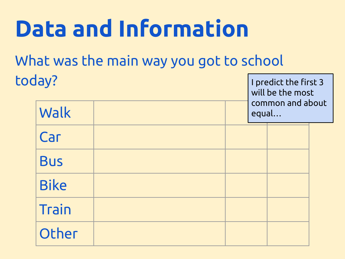What was the main way you got to school today?

| predict the first 3<br>   will be the most<br>   common and about |
|-------------------------------------------------------------------|
|                                                                   |
| equal                                                             |
|                                                                   |

| Walk        | equal |  |  |  |
|-------------|-------|--|--|--|
| Car         |       |  |  |  |
| <b>Bus</b>  |       |  |  |  |
| <b>Bike</b> |       |  |  |  |
| Train       |       |  |  |  |
| Other       |       |  |  |  |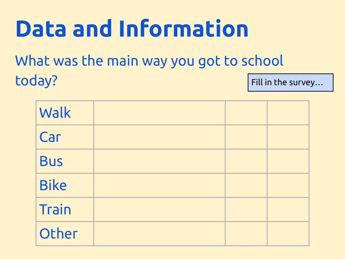What was the main way you got to school today? Fill in the survey…

| Walk         |  |  |
|--------------|--|--|
| Car          |  |  |
| <b>Bus</b>   |  |  |
| <b>Bike</b>  |  |  |
| <b>Train</b> |  |  |
| Other        |  |  |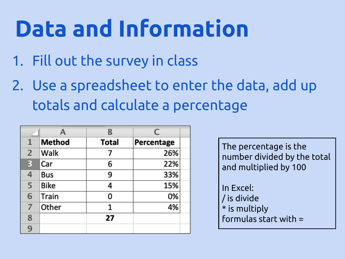- 1. Fill out the survey in class
- 2. Use a spreadsheet to enter the data, add up totals and calculate a percentage

|                | A             | B            | C          |
|----------------|---------------|--------------|------------|
| 1              | <b>Method</b> | <b>Total</b> | Percentage |
| $\overline{2}$ | Walk          |              | 26%        |
| 3              | Car           | 6            | 22%        |
| $\overline{4}$ | Bus           | 9            | 33%        |
| 5              | <b>Bike</b>   | 4            | 15%        |
| 6              | Train         | 0            | 0%         |
| $\overline{7}$ | Other         | 1            | 4%         |
| 8              |               | 27           |            |
| 9              |               |              |            |

The percentage is the number divided by the total and multiplied by 100

In Excel: / is divide \* is multiply formulas start with =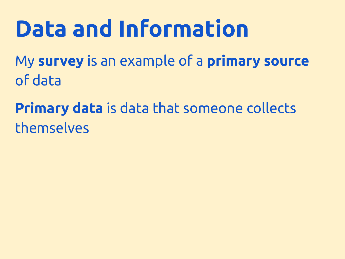My **survey** is an example of a **primary source** of data

**Primary data** is data that someone collects themselves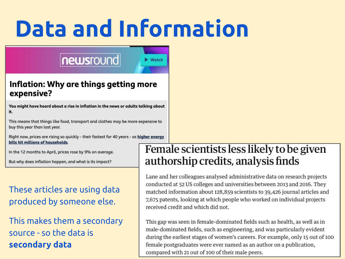### newsround

Watch

#### Inflation: Why are things getting more expensive?

You might have heard about a rise in inflation in the news or adults talking about it.

This means that things like food, transport and clothes may be more expensive to buy this year than last year.

Right now, prices are rising so quickly - their fastest for 40 years - as higher energy bills hit millions of households.

In the 12 months to April, prices rose by 9% on average.

But why does inflation happen, and what is its impact?

#### These articles are using data produced by someone else.

#### This makes them a secondary source - so the data is **secondary data**

#### Female scientists less likely to be given authorship credits, analysis finds

Lane and her colleagues analysed administrative data on research projects conducted at 52 US colleges and universities between 2013 and 2016. They matched information about 128,859 scientists to 39,426 journal articles and 7,675 patents, looking at which people who worked on individual projects received credit and which did not.

This gap was seen in female-dominated fields such as health, as well as in male-dominated fields, such as engineering, and was particularly evident during the earliest stages of women's careers. For example, only 15 out of 100 female postgraduates were ever named as an author on a publication, compared with 21 out of 100 of their male peers.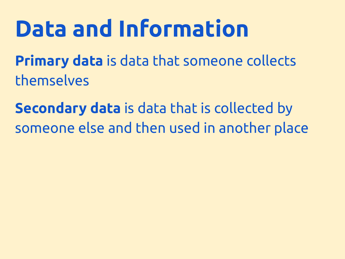**Primary data** is data that someone collects themselves

**Secondary data** is data that is collected by someone else and then used in another place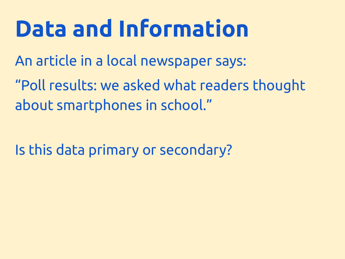An article in a local newspaper says:

"Poll results: we asked what readers thought about smartphones in school."

Is this data primary or secondary?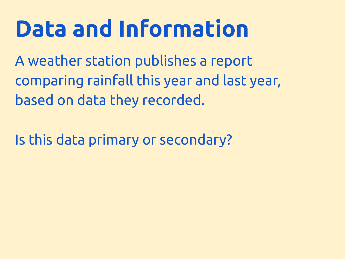A weather station publishes a report comparing rainfall this year and last year, based on data they recorded.

Is this data primary or secondary?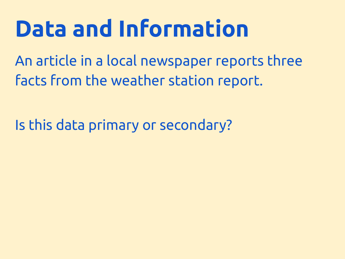An article in a local newspaper reports three facts from the weather station report.

Is this data primary or secondary?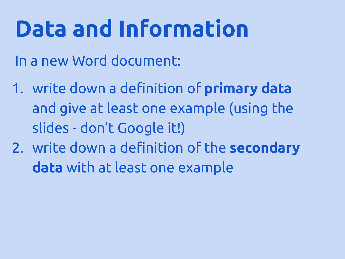In a new Word document:

- 1. write down a definition of **primary data** and give at least one example (using the slides - don't Google it!)
- 2. write down a definition of the **secondary data** with at least one example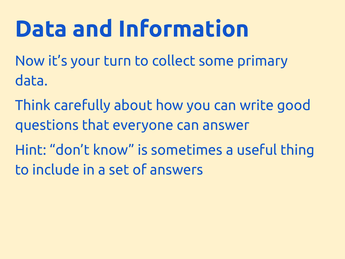Now it's your turn to collect some primary data.

Think carefully about how you can write good questions that everyone can answer

Hint: "don't know" is sometimes a useful thing to include in a set of answers